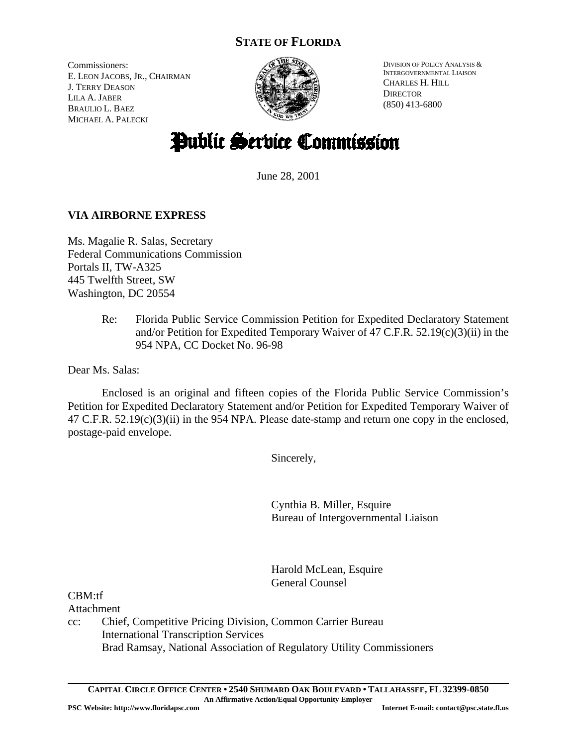## **STATE OF FLORIDA**

Commissioners: E. LEON JACOBS, JR., CHAIRMAN J. TERRY DEASON LILA A. JABER BRAULIO L. BAEZ MICHAEL A. PALECKI



DIVISION OF POLICY ANALYSIS & INTERGOVERNMENTAL LIAISON CHARLES H. HILL **DIRECTOR** (850) 413-6800

# Public Service Commission

June 28, 2001

### **VIA AIRBORNE EXPRESS**

Ms. Magalie R. Salas, Secretary Federal Communications Commission Portals II, TW-A325 445 Twelfth Street, SW Washington, DC 20554

> Re: Florida Public Service Commission Petition for Expedited Declaratory Statement and/or Petition for Expedited Temporary Waiver of 47 C.F.R. 52.19(c)(3)(ii) in the 954 NPA, CC Docket No. 96-98

Dear Ms. Salas:

Enclosed is an original and fifteen copies of the Florida Public Service Commission's Petition for Expedited Declaratory Statement and/or Petition for Expedited Temporary Waiver of 47 C.F.R. 52.19(c)(3)(ii) in the 954 NPA. Please date-stamp and return one copy in the enclosed, postage-paid envelope.

Sincerely,

Cynthia B. Miller, Esquire Bureau of Intergovernmental Liaison

Harold McLean, Esquire General Counsel

CBM:tf

Attachment

cc: Chief, Competitive Pricing Division, Common Carrier Bureau International Transcription Services Brad Ramsay, National Association of Regulatory Utility Commissioners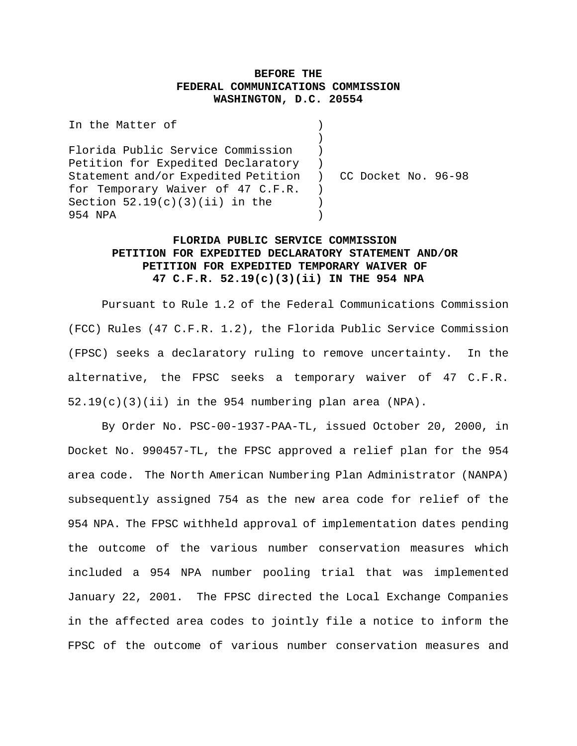#### **BEFORE THE FEDERAL COMMUNICATIONS COMMISSION WASHINGTON, D.C. 20554**

| In the Matter of                                          |  |  |  |
|-----------------------------------------------------------|--|--|--|
|                                                           |  |  |  |
| Florida Public Service Commission                         |  |  |  |
| Petition for Expedited Declaratory                        |  |  |  |
| Statement and/or Expedited Petition ) CC Docket No. 96-98 |  |  |  |
| for Temporary Waiver of 47 C.F.R.                         |  |  |  |
| Section $52.19(c)(3)(ii)$ in the                          |  |  |  |
| 954 NPA                                                   |  |  |  |

#### **FLORIDA PUBLIC SERVICE COMMISSION PETITION FOR EXPEDITED DECLARATORY STATEMENT AND/OR PETITION FOR EXPEDITED TEMPORARY WAIVER OF 47 C.F.R. 52.19(c)(3)(ii) IN THE 954 NPA**

Pursuant to Rule 1.2 of the Federal Communications Commission (FCC) Rules (47 C.F.R. 1.2), the Florida Public Service Commission (FPSC) seeks a declaratory ruling to remove uncertainty. In the alternative, the FPSC seeks a temporary waiver of 47 C.F.R. 52.19(c)(3)(ii) in the 954 numbering plan area (NPA).

By Order No. PSC-00-1937-PAA-TL, issued October 20, 2000, in Docket No. 990457-TL, the FPSC approved a relief plan for the 954 area code. The North American Numbering Plan Administrator (NANPA) subsequently assigned 754 as the new area code for relief of the 954 NPA. The FPSC withheld approval of implementation dates pending the outcome of the various number conservation measures which included a 954 NPA number pooling trial that was implemented January 22, 2001. The FPSC directed the Local Exchange Companies in the affected area codes to jointly file a notice to inform the FPSC of the outcome of various number conservation measures and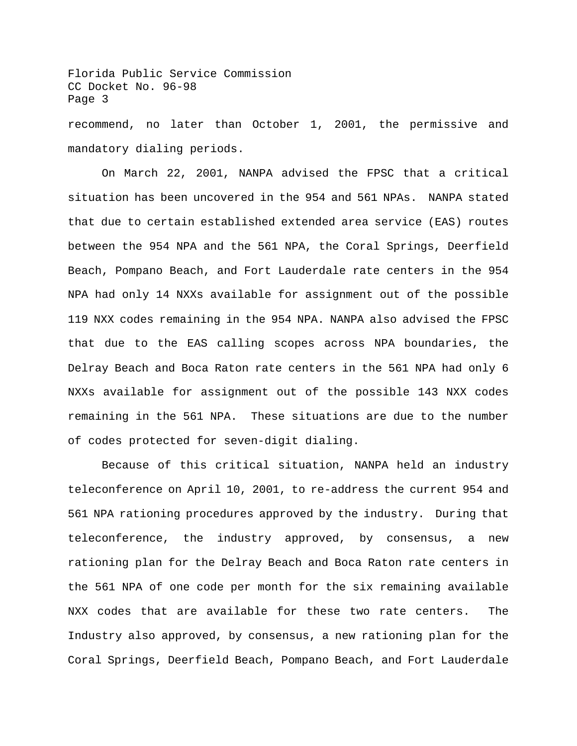Florida Public Service Commission CC Docket No. 96-98 Page 3 recommend, no later than October 1, 2001, the permissive and mandatory dialing periods.

On March 22, 2001, NANPA advised the FPSC that a critical situation has been uncovered in the 954 and 561 NPAs. NANPA stated that due to certain established extended area service (EAS) routes between the 954 NPA and the 561 NPA, the Coral Springs, Deerfield Beach, Pompano Beach, and Fort Lauderdale rate centers in the 954 NPA had only 14 NXXs available for assignment out of the possible 119 NXX codes remaining in the 954 NPA. NANPA also advised the FPSC that due to the EAS calling scopes across NPA boundaries, the Delray Beach and Boca Raton rate centers in the 561 NPA had only 6 NXXs available for assignment out of the possible 143 NXX codes remaining in the 561 NPA. These situations are due to the number of codes protected for seven-digit dialing.

Because of this critical situation, NANPA held an industry teleconference on April 10, 2001, to re-address the current 954 and 561 NPA rationing procedures approved by the industry. During that teleconference, the industry approved, by consensus, a new rationing plan for the Delray Beach and Boca Raton rate centers in the 561 NPA of one code per month for the six remaining available NXX codes that are available for these two rate centers. The Industry also approved, by consensus, a new rationing plan for the Coral Springs, Deerfield Beach, Pompano Beach, and Fort Lauderdale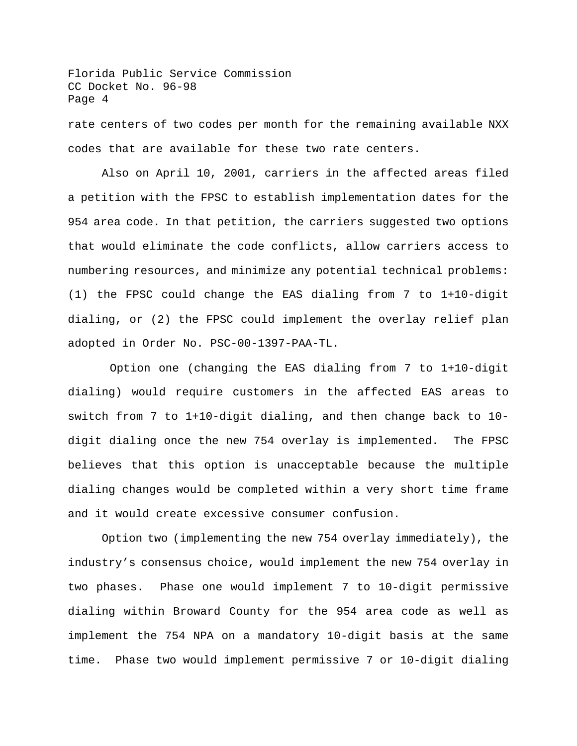Florida Public Service Commission CC Docket No. 96-98 Page 4 rate centers of two codes per month for the remaining available NXX codes that are available for these two rate centers.

Also on April 10, 2001, carriers in the affected areas filed a petition with the FPSC to establish implementation dates for the 954 area code. In that petition, the carriers suggested two options that would eliminate the code conflicts, allow carriers access to numbering resources, and minimize any potential technical problems: (1) the FPSC could change the EAS dialing from 7 to 1+10-digit dialing, or (2) the FPSC could implement the overlay relief plan adopted in Order No. PSC-00-1397-PAA-TL.

Option one (changing the EAS dialing from 7 to 1+10-digit dialing) would require customers in the affected EAS areas to switch from 7 to 1+10-digit dialing, and then change back to 10 digit dialing once the new 754 overlay is implemented. The FPSC believes that this option is unacceptable because the multiple dialing changes would be completed within a very short time frame and it would create excessive consumer confusion.

Option two (implementing the new 754 overlay immediately), the industry's consensus choice, would implement the new 754 overlay in two phases. Phase one would implement 7 to 10-digit permissive dialing within Broward County for the 954 area code as well as implement the 754 NPA on a mandatory 10-digit basis at the same time. Phase two would implement permissive 7 or 10-digit dialing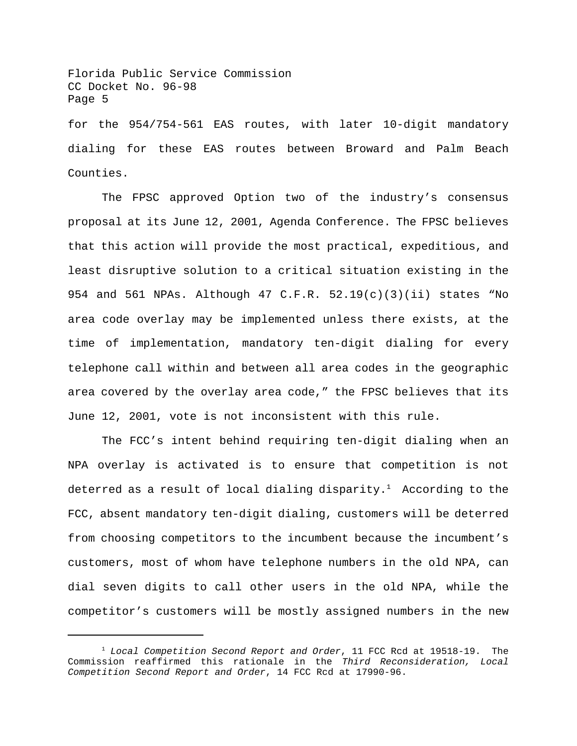Florida Public Service Commission CC Docket No. 96-98 Page 5 for the 954/754-561 EAS routes, with later 10-digit mandatory dialing for these EAS routes between Broward and Palm Beach Counties.

The FPSC approved Option two of the industry's consensus proposal at its June 12, 2001, Agenda Conference. The FPSC believes that this action will provide the most practical, expeditious, and least disruptive solution to a critical situation existing in the 954 and 561 NPAs. Although 47 C.F.R. 52.19(c)(3)(ii) states "No area code overlay may be implemented unless there exists, at the time of implementation, mandatory ten-digit dialing for every telephone call within and between all area codes in the geographic area covered by the overlay area code," the FPSC believes that its June 12, 2001, vote is not inconsistent with this rule.

The FCC's intent behind requiring ten-digit dialing when an NPA overlay is activated is to ensure that competition is not deterred as a result of local dialing disparity.<sup>1</sup> According to the FCC, absent mandatory ten-digit dialing, customers will be deterred from choosing competitors to the incumbent because the incumbent's customers, most of whom have telephone numbers in the old NPA, can dial seven digits to call other users in the old NPA, while the competitor's customers will be mostly assigned numbers in the new

<sup>1</sup> *Local Competition Second Report and Order*, 11 FCC Rcd at 19518-19. The Commission reaffirmed this rationale in the *Third Reconsideration, Local Competition Second Report and Order*, 14 FCC Rcd at 17990-96.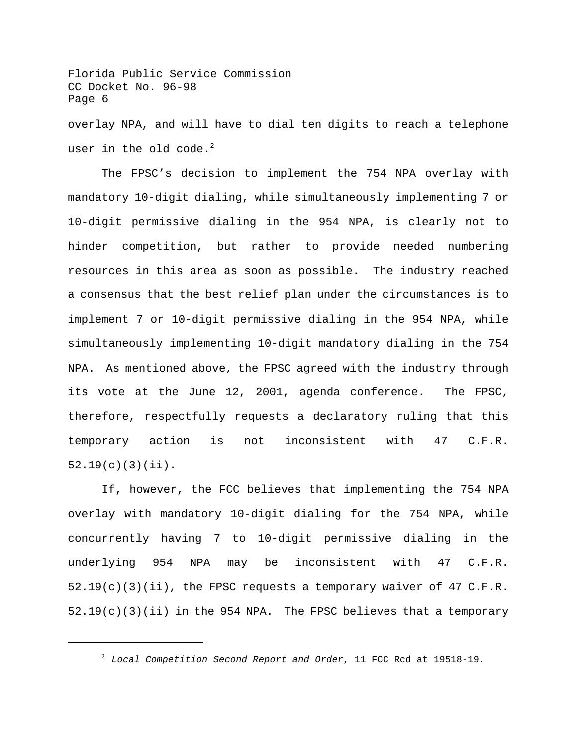Florida Public Service Commission CC Docket No. 96-98 Page 6 overlay NPA, and will have to dial ten digits to reach a telephone user in the old  $code.^2$ 

The FPSC's decision to implement the 754 NPA overlay with mandatory 10-digit dialing, while simultaneously implementing 7 or 10-digit permissive dialing in the 954 NPA, is clearly not to hinder competition, but rather to provide needed numbering resources in this area as soon as possible. The industry reached a consensus that the best relief plan under the circumstances is to implement 7 or 10-digit permissive dialing in the 954 NPA, while simultaneously implementing 10-digit mandatory dialing in the 754 NPA. As mentioned above, the FPSC agreed with the industry through its vote at the June 12, 2001, agenda conference. The FPSC, therefore, respectfully requests a declaratory ruling that this temporary action is not inconsistent with 47 C.F.R. 52.19(c)(3)(ii).

If, however, the FCC believes that implementing the 754 NPA overlay with mandatory 10-digit dialing for the 754 NPA, while concurrently having 7 to 10-digit permissive dialing in the underlying 954 NPA may be inconsistent with 47 C.F.R.  $52.19(c)(3)(ii)$ , the FPSC requests a temporary waiver of 47 C.F.R.  $52.19(c)(3)(ii)$  in the 954 NPA. The FPSC believes that a temporary

<sup>2</sup> *Local Competition Second Report and Order*, 11 FCC Rcd at 19518-19.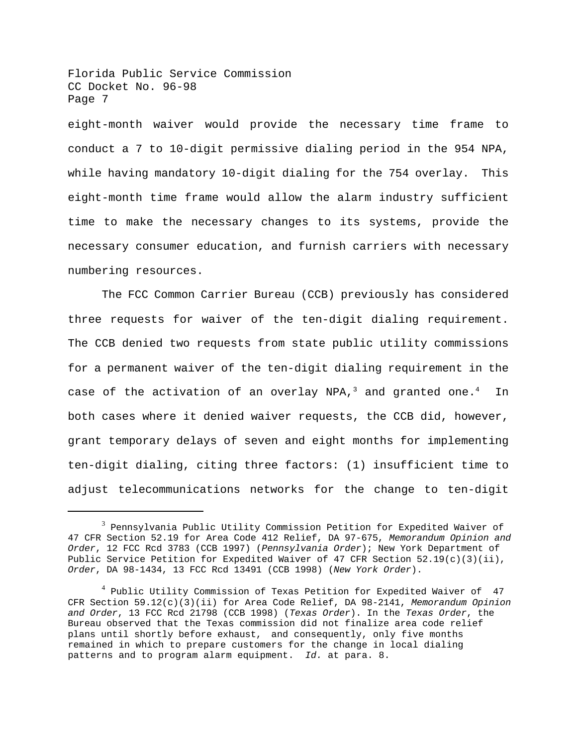Florida Public Service Commission CC Docket No. 96-98 Page 7

eight-month waiver would provide the necessary time frame to conduct a 7 to 10-digit permissive dialing period in the 954 NPA, while having mandatory 10-digit dialing for the 754 overlay. This eight-month time frame would allow the alarm industry sufficient time to make the necessary changes to its systems, provide the necessary consumer education, and furnish carriers with necessary numbering resources.

The FCC Common Carrier Bureau (CCB) previously has considered three requests for waiver of the ten-digit dialing requirement. The CCB denied two requests from state public utility commissions for a permanent waiver of the ten-digit dialing requirement in the case of the activation of an overlay NPA,<sup>3</sup> and granted one.<sup>4</sup> In both cases where it denied waiver requests, the CCB did, however, grant temporary delays of seven and eight months for implementing ten-digit dialing, citing three factors: (1) insufficient time to adjust telecommunications networks for the change to ten-digit

 $^3$  Pennsylvania Public Utility Commission Petition for Expedited Waiver of 47 CFR Section 52.19 for Area Code 412 Relief, DA 97-675, *Memorandum Opinion and Order*, 12 FCC Rcd 3783 (CCB 1997) (*Pennsylvania Order*); New York Department of Public Service Petition for Expedited Waiver of 47 CFR Section 52.19(c)(3)(ii), *Order*, DA 98-1434, 13 FCC Rcd 13491 (CCB 1998) (*New York Order*).

<sup>4</sup> Public Utility Commission of Texas Petition for Expedited Waiver of 47 CFR Section 59.12(c)(3)(ii) for Area Code Relief, DA 98-2141, *Memorandum Opinion and Order*, 13 FCC Rcd 21798 (CCB 1998) (*Texas Order*). In the *Texas Order*, the Bureau observed that the Texas commission did not finalize area code relief plans until shortly before exhaust, and consequently, only five months remained in which to prepare customers for the change in local dialing patterns and to program alarm equipment. *Id.* at para. 8.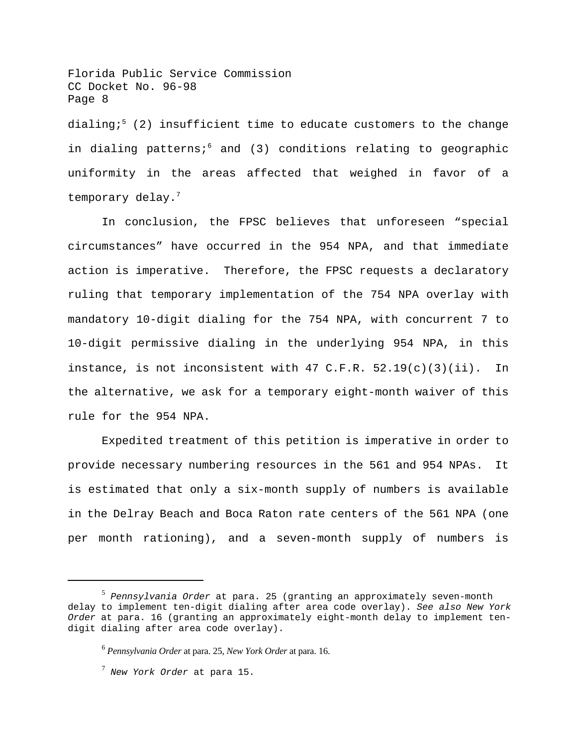Florida Public Service Commission CC Docket No. 96-98 Page 8 dialing; $5$  (2) insufficient time to educate customers to the change in dialing patterns;<sup>6</sup> and (3) conditions relating to geographic uniformity in the areas affected that weighed in favor of a temporary delay.<sup>7</sup>

In conclusion, the FPSC believes that unforeseen "special circumstances" have occurred in the 954 NPA, and that immediate action is imperative. Therefore, the FPSC requests a declaratory ruling that temporary implementation of the 754 NPA overlay with mandatory 10-digit dialing for the 754 NPA, with concurrent 7 to 10-digit permissive dialing in the underlying 954 NPA, in this instance, is not inconsistent with  $47$  C.F.R.  $52.19(c)(3)(ii)$ . In the alternative, we ask for a temporary eight-month waiver of this rule for the 954 NPA.

Expedited treatment of this petition is imperative in order to provide necessary numbering resources in the 561 and 954 NPAs. It is estimated that only a six-month supply of numbers is available in the Delray Beach and Boca Raton rate centers of the 561 NPA (one per month rationing), and a seven-month supply of numbers is

<sup>5</sup>  *Pennsylvania Order* at para. 25 (granting an approximately seven-month delay to implement ten-digit dialing after area code overlay). *See also New York Order* at para. 16 (granting an approximately eight-month delay to implement tendigit dialing after area code overlay).

<sup>6</sup>  *Pennsylvania Order* at para. 25, *New York Order* at para. 16.

<sup>7</sup>  *New York Order* at para 15.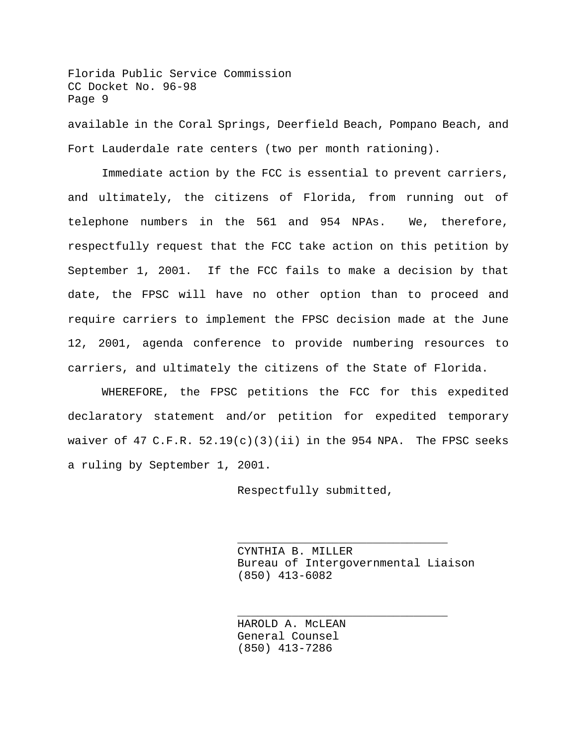Florida Public Service Commission CC Docket No. 96-98 Page 9 available in the Coral Springs, Deerfield Beach, Pompano Beach, and Fort Lauderdale rate centers (two per month rationing).

Immediate action by the FCC is essential to prevent carriers, and ultimately, the citizens of Florida, from running out of telephone numbers in the 561 and 954 NPAs. We, therefore, respectfully request that the FCC take action on this petition by September 1, 2001. If the FCC fails to make a decision by that date, the FPSC will have no other option than to proceed and require carriers to implement the FPSC decision made at the June 12, 2001, agenda conference to provide numbering resources to carriers, and ultimately the citizens of the State of Florida.

WHEREFORE, the FPSC petitions the FCC for this expedited declaratory statement and/or petition for expedited temporary waiver of 47 C.F.R.  $52.19(c)(3)(ii)$  in the 954 NPA. The FPSC seeks a ruling by September 1, 2001.

Respectfully submitted,

CYNTHIA B. MILLER Bureau of Intergovernmental Liaison (850) 413-6082

\_\_\_\_\_\_\_\_\_\_\_\_\_\_\_\_\_\_\_\_\_\_\_\_\_\_\_\_\_\_\_

\_\_\_\_\_\_\_\_\_\_\_\_\_\_\_\_\_\_\_\_\_\_\_\_\_\_\_\_\_\_\_

HAROLD A. McLEAN General Counsel (850) 413-7286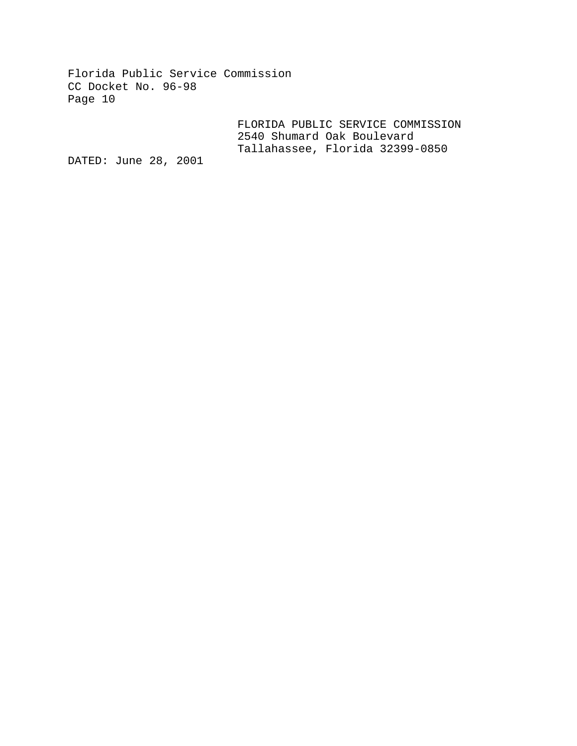Florida Public Service Commission CC Docket No. 96-98 Page 10

> FLORIDA PUBLIC SERVICE COMMISSION 2540 Shumard Oak Boulevard Tallahassee, Florida 32399-0850

DATED: June 28, 2001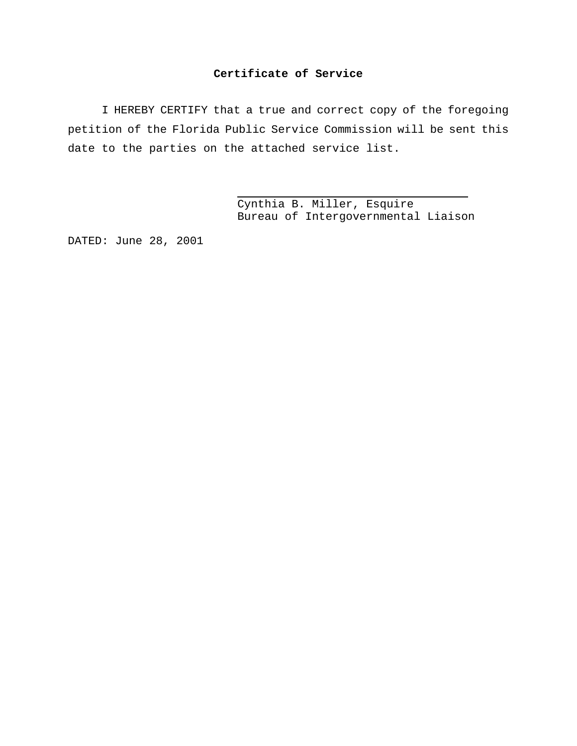#### **Certificate of Service**

I HEREBY CERTIFY that a true and correct copy of the foregoing petition of the Florida Public Service Commission will be sent this date to the parties on the attached service list.

J.

Cynthia B. Miller, Esquire Bureau of Intergovernmental Liaison

DATED: June 28, 2001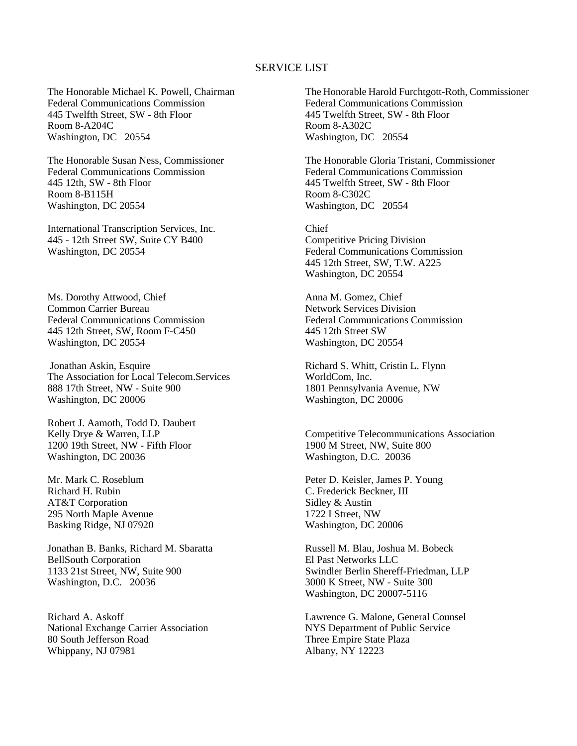#### SERVICE LIST

The Honorable Michael K. Powell, Chairman Federal Communications Commission 445 Twelfth Street, SW - 8th Floor Room 8-A204C Washington, DC 20554

The Honorable Susan Ness, Commissioner Federal Communications Commission 445 12th, SW - 8th Floor Room 8-B115H Washington, DC 20554

International Transcription Services, Inc. 445 - 12th Street SW, Suite CY B400 Washington, DC 20554

Ms. Dorothy Attwood, Chief Common Carrier Bureau Federal Communications Commission 445 12th Street, SW, Room F-C450 Washington, DC 20554

Jonathan Askin, Esquire The Association for Local Telecom.Services 888 17th Street, NW - Suite 900 Washington, DC 20006

Robert J. Aamoth, Todd D. Daubert Kelly Drye & Warren, LLP 1200 19th Street, NW - Fifth Floor Washington, DC 20036

Mr. Mark C. Roseblum Richard H. Rubin AT&T Corporation 295 North Maple Avenue Basking Ridge, NJ 07920

Jonathan B. Banks, Richard M. Sbaratta BellSouth Corporation 1133 21st Street, NW, Suite 900 Washington, D.C. 20036

Richard A. Askoff National Exchange Carrier Association 80 South Jefferson Road Whippany, NJ 07981

The Honorable Harold Furchtgott-Roth, Commissioner Federal Communications Commission 445 Twelfth Street, SW - 8th Floor Room 8-A302C Washington, DC 20554

The Honorable Gloria Tristani, Commissioner Federal Communications Commission 445 Twelfth Street, SW - 8th Floor Room 8-C302C Washington, DC 20554

Chief Competitive Pricing Division Federal Communications Commission 445 12th Street, SW, T.W. A225 Washington, DC 20554

Anna M. Gomez, Chief Network Services Division Federal Communications Commission 445 12th Street SW Washington, DC 20554

Richard S. Whitt, Cristin L. Flynn WorldCom, Inc. 1801 Pennsylvania Avenue, NW Washington, DC 20006

Competitive Telecommunications Association 1900 M Street, NW, Suite 800 Washington, D.C. 20036

Peter D. Keisler, James P. Young C. Frederick Beckner, III Sidley & Austin 1722 I Street, NW Washington, DC 20006

Russell M. Blau, Joshua M. Bobeck El Past Networks LLC Swindler Berlin Shereff-Friedman, LLP 3000 K Street, NW - Suite 300 Washington, DC 20007-5116

Lawrence G. Malone, General Counsel NYS Department of Public Service Three Empire State Plaza Albany, NY 12223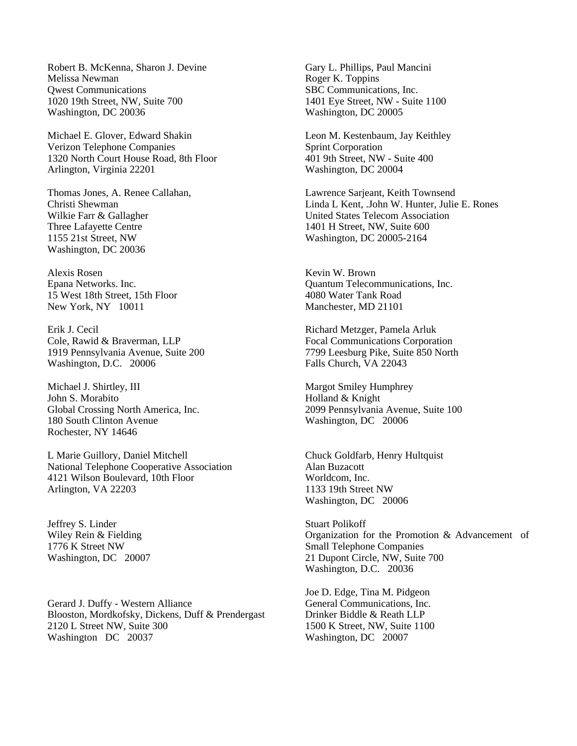Robert B. McKenna, Sharon J. Devine Melissa Newman Qwest Communications 1020 19th Street, NW, Suite 700 Washington, DC 20036

Michael E. Glover, Edward Shakin Verizon Telephone Companies 1320 North Court House Road, 8th Floor Arlington, Virginia 22201

Thomas Jones, A. Renee Callahan, Christi Shewman Wilkie Farr & Gallagher Three Lafayette Centre 1155 21st Street, NW Washington, DC 20036

Alexis Rosen Epana Networks. Inc. 15 West 18th Street, 15th Floor New York, NY 10011

Erik J. Cecil Cole, Rawid & Braverman, LLP 1919 Pennsylvania Avenue, Suite 200 Washington, D.C. 20006

Michael J. Shirtley, III John S. Morabito Global Crossing North America, Inc. 180 South Clinton Avenue Rochester, NY 14646

L Marie Guillory, Daniel Mitchell National Telephone Cooperative Association 4121 Wilson Boulevard, 10th Floor Arlington, VA 22203

Jeffrey S. Linder Wiley Rein & Fielding 1776 K Street NW Washington, DC 20007

Gerard J. Duffy - Western Alliance Blooston, Mordkofsky, Dickens, Duff & Prendergast 2120 L Street NW, Suite 300 Washington DC 20037

Gary L. Phillips, Paul Mancini Roger K. Toppins SBC Communications, Inc. 1401 Eye Street, NW - Suite 1100 Washington, DC 20005

Leon M. Kestenbaum, Jay Keithley Sprint Corporation 401 9th Street, NW - Suite 400 Washington, DC 20004

Lawrence Sarjeant, Keith Townsend Linda L Kent, .John W. Hunter, Julie E. Rones United States Telecom Association 1401 H Street, NW, Suite 600 Washington, DC 20005-2164

Kevin W. Brown Quantum Telecommunications, Inc. 4080 Water Tank Road Manchester, MD 21101

Richard Metzger, Pamela Arluk Focal Communications Corporation 7799 Leesburg Pike, Suite 850 North Falls Church, VA 22043

Margot Smiley Humphrey Holland & Knight 2099 Pennsylvania Avenue, Suite 100 Washington, DC 20006

Chuck Goldfarb, Henry Hultquist Alan Buzacott Worldcom, Inc. 1133 19th Street NW Washington, DC 20006

Stuart Polikoff Organization for the Promotion & Advancement of Small Telephone Companies 21 Dupont Circle, NW, Suite 700 Washington, D.C. 20036

Joe D. Edge, Tina M. Pidgeon General Communications, Inc. Drinker Biddle & Reath LLP 1500 K Street, NW, Suite 1100 Washington, DC 20007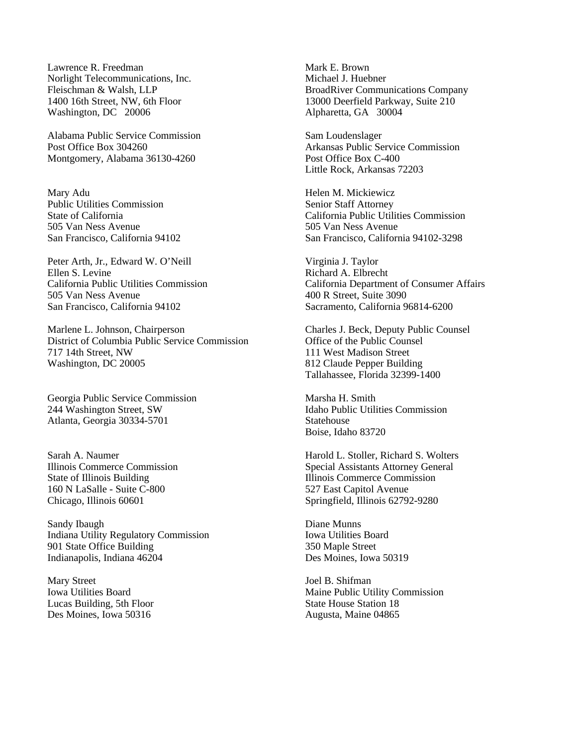Lawrence R. Freedman Norlight Telecommunications, Inc. Fleischman & Walsh, LLP 1400 16th Street, NW, 6th Floor Washington, DC 20006

Alabama Public Service Commission Post Office Box 304260 Montgomery, Alabama 36130-4260

Mary Adu Public Utilities Commission State of California 505 Van Ness Avenue San Francisco, California 94102

Peter Arth, Jr., Edward W. O'Neill Ellen S. Levine California Public Utilities Commission 505 Van Ness Avenue San Francisco, California 94102

Marlene L. Johnson, Chairperson District of Columbia Public Service Commission 717 14th Street, NW Washington, DC 20005

Georgia Public Service Commission 244 Washington Street, SW Atlanta, Georgia 30334-5701

Sarah A. Naumer Illinois Commerce Commission State of Illinois Building 160 N LaSalle - Suite C-800 Chicago, Illinois 60601

Sandy Ibaugh Indiana Utility Regulatory Commission 901 State Office Building Indianapolis, Indiana 46204

Mary Street Iowa Utilities Board Lucas Building, 5th Floor Des Moines, Iowa 50316

Mark E. Brown Michael J. Huebner BroadRiver Communications Company 13000 Deerfield Parkway, Suite 210 Alpharetta, GA 30004

Sam Loudenslager Arkansas Public Service Commission Post Office Box C-400 Little Rock, Arkansas 72203

Helen M. Mickiewicz Senior Staff Attorney California Public Utilities Commission 505 Van Ness Avenue San Francisco, California 94102-3298

Virginia J. Taylor Richard A. Elbrecht California Department of Consumer Affairs 400 R Street, Suite 3090 Sacramento, California 96814-6200

Charles J. Beck, Deputy Public Counsel Office of the Public Counsel 111 West Madison Street 812 Claude Pepper Building Tallahassee, Florida 32399-1400

Marsha H. Smith Idaho Public Utilities Commission Statehouse Boise, Idaho 83720

Harold L. Stoller, Richard S. Wolters Special Assistants Attorney General Illinois Commerce Commission 527 East Capitol Avenue Springfield, Illinois 62792-9280

Diane Munns Iowa Utilities Board 350 Maple Street Des Moines, Iowa 50319

Joel B. Shifman Maine Public Utility Commission State House Station 18 Augusta, Maine 04865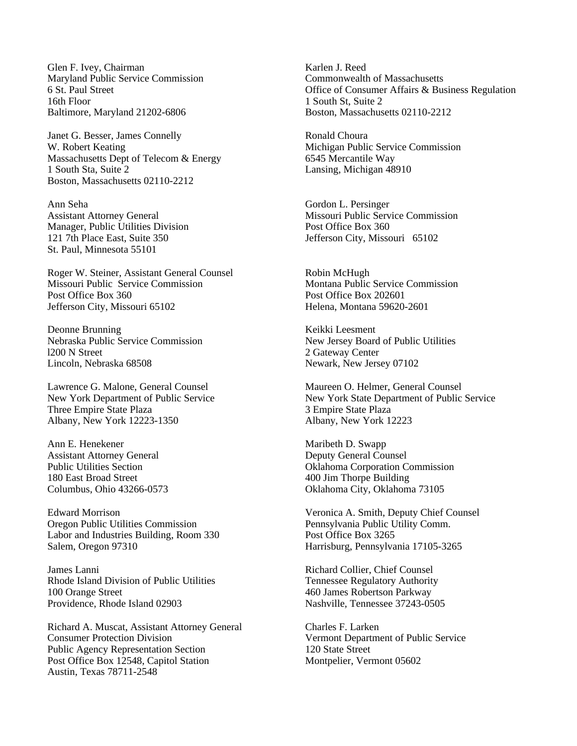Glen F. Ivey, Chairman Maryland Public Service Commission 6 St. Paul Street 16th Floor Baltimore, Maryland 21202-6806

Janet G. Besser, James Connelly W. Robert Keating Massachusetts Dept of Telecom & Energy 1 South Sta, Suite 2 Boston, Massachusetts 02110-2212

Ann Seha Assistant Attorney General Manager, Public Utilities Division 121 7th Place East, Suite 350 St. Paul, Minnesota 55101

Roger W. Steiner, Assistant General Counsel Missouri Public Service Commission Post Office Box 360 Jefferson City, Missouri 65102

Deonne Brunning Nebraska Public Service Commission l200 N Street Lincoln, Nebraska 68508

Lawrence G. Malone, General Counsel New York Department of Public Service Three Empire State Plaza Albany, New York 12223-1350

Ann E. Henekener Assistant Attorney General Public Utilities Section 180 East Broad Street Columbus, Ohio 43266-0573

Edward Morrison Oregon Public Utilities Commission Labor and Industries Building, Room 330 Salem, Oregon 97310

James Lanni Rhode Island Division of Public Utilities 100 Orange Street Providence, Rhode Island 02903

Richard A. Muscat, Assistant Attorney General Consumer Protection Division Public Agency Representation Section Post Office Box 12548, Capitol Station Austin, Texas 78711-2548

Karlen J. Reed Commonwealth of Massachusetts Office of Consumer Affairs & Business Regulation 1 South St, Suite 2 Boston, Massachusetts 02110-2212

Ronald Choura Michigan Public Service Commission 6545 Mercantile Way Lansing, Michigan 48910

Gordon L. Persinger Missouri Public Service Commission Post Office Box 360 Jefferson City, Missouri 65102

Robin McHugh Montana Public Service Commission Post Office Box 202601 Helena, Montana 59620-2601

Keikki Leesment New Jersey Board of Public Utilities 2 Gateway Center Newark, New Jersey 07102

Maureen O. Helmer, General Counsel New York State Department of Public Service 3 Empire State Plaza Albany, New York 12223

Maribeth D. Swapp Deputy General Counsel Oklahoma Corporation Commission 400 Jim Thorpe Building Oklahoma City, Oklahoma 73105

Veronica A. Smith, Deputy Chief Counsel Pennsylvania Public Utility Comm. Post Office Box 3265 Harrisburg, Pennsylvania 17105-3265

Richard Collier, Chief Counsel Tennessee Regulatory Authority 460 James Robertson Parkway Nashville, Tennessee 37243-0505

Charles F. Larken Vermont Department of Public Service 120 State Street Montpelier, Vermont 05602